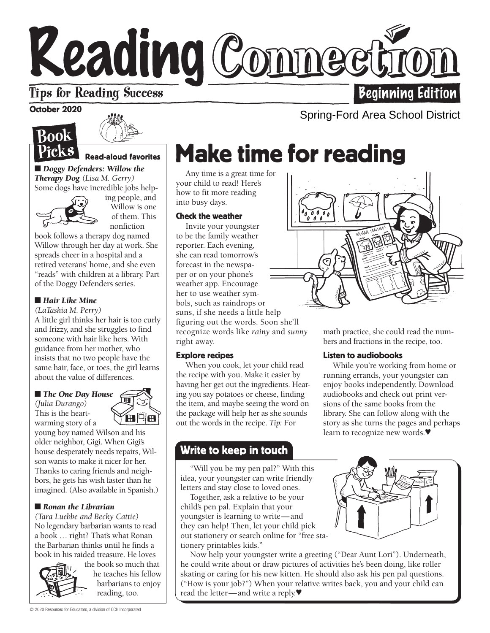# Reading Connect

# **Tips for Reading Success**

October 2020

# **Book** <sup>)</sup>ick S



#### Read-aloud favorites

■ *Doggy Defenders: Willow the Therapy Dog (Lisa M. Gerry)*  Some dogs have incredible jobs help-



ing people, and Willow is one of them. This nonfiction

book follows a therapy dog named Willow through her day at work. She spreads cheer in a hospital and a retired veterans' home, and she even "reads" with children at a library. Part of the Doggy Defenders series.

#### ■ *Hair Like Mine*

*(LaTashia M. Perry)* 

A little girl thinks her hair is too curly and frizzy, and she struggles to find someone with hair like hers. With guidance from her mother, who insists that no two people have the same hair, face, or toes, the girl learns about the value of differences.

#### ■ *The One Day House*

*(Julia Durango)*  This is the heartwarming story of a

**ACH** young boy named Wilson and his older neighbor, Gigi. When Gigi's house desperately needs repairs, Wil-

son wants to make it nicer for her. Thanks to caring friends and neighbors, he gets his wish faster than he imagined. (Also available in Spanish.)

#### ■ *Ronan the Librarian*

*(Tara Luebbe and Becky Cattie)* No legendary barbarian wants to read a book … right? That's what Ronan the Barbarian thinks until he finds a book in his raided treasure. He loves



the book so much that he teaches his fellow barbarians to enjoy reading, too.

# Make time for reading

Any time is a great time for your child to read! Here's how to fit more reading into busy days.

#### Check the weather

Invite your youngster to be the family weather reporter. Each evening, she can read tomorrow's forecast in the newspaper or on your phone's weather app. Encourage her to use weather symbols, such as raindrops or suns, if she needs a little help figuring out the words. Soon she'll recognize words like *rainy* and *sunny* right away.

#### Explore recipes

When you cook, let your child read the recipe with you. Make it easier by having her get out the ingredients. Hearing you say potatoes or cheese, finding the item, and maybe seeing the word on the package will help her as she sounds out the words in the recipe. *Tip:* For

### Write to keep in touch

w "Will you be my pen pal?" With this idea, your youngster can write friendly letters and stay close to loved ones.

Together, ask a relative to be your child's pen pal. Explain that your youngster is learning to write—and they can help! Then, let your child pick out stationery or search online for "free stationery printables kids."

Now help your youngster write a greeting ("Dear Aunt Lori"). Underneath, he could write about or draw pictures of activities he's been doing, like roller skating or caring for his new kitten. He should also ask his pen pal questions. ("How is your job?") When your relative writes back, you and your child can read the letter—and write a reply.♥



math practice, she could read the numbers and fractions in the recipe, too.

#### Listen to audiobooks

While you're working from home or running errands, your youngster can enjoy books independently. Download audiobooks and check out print versions of the same books from the library. She can follow along with the story as she turns the pages and perhaps learn to recognize new words.♥



Beginning Edition

Spring-Ford Area School District